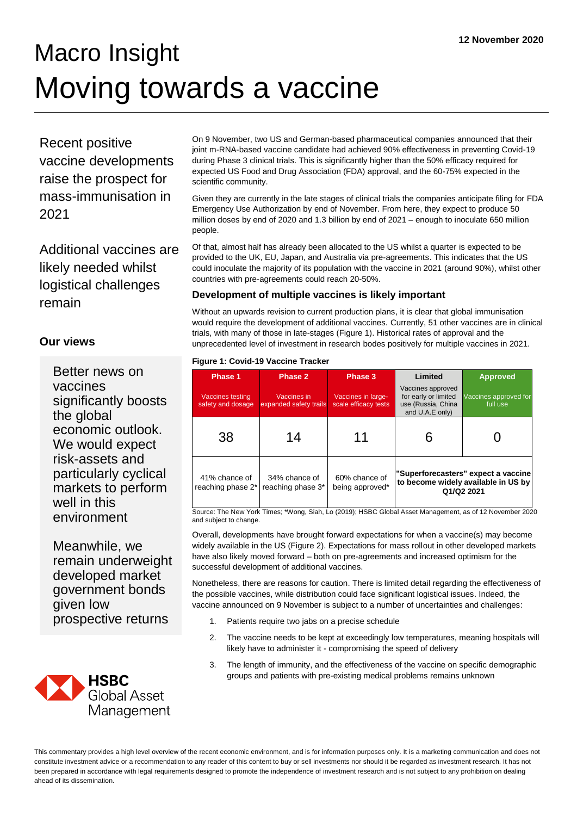# Macro Insight Moving towards a vaccine

Recent positive vaccine developments raise the prospect for mass-immunisation in 2021

Additional vaccines are likely needed whilst logistical challenges remain

## **Our views**

Better news on vaccines significantly boosts the global economic outlook. We would expect risk-assets and particularly cyclical markets to perform well in this environment

Meanwhile, we remain underweight developed market government bonds given low prospective returns



On 9 November, two US and German-based pharmaceutical companies announced that their joint m-RNA-based vaccine candidate had achieved 90% effectiveness in preventing Covid-19 during Phase 3 clinical trials. This is significantly higher than the 50% efficacy required for expected US Food and Drug Association (FDA) approval, and the 60-75% expected in the scientific community.

Given they are currently in the late stages of clinical trials the companies anticipate filing for FDA Emergency Use Authorization by end of November. From here, they expect to produce 50 million doses by end of 2020 and 1.3 billion by end of 2021 – enough to inoculate 650 million people.

Of that, almost half has already been allocated to the US whilst a quarter is expected to be provided to the UK, EU, Japan, and Australia via pre-agreements. This indicates that the US could inoculate the majority of its population with the vaccine in 2021 (around 90%), whilst other countries with pre-agreements could reach 20-50%.

## **Development of multiple vaccines is likely important**

Without an upwards revision to current production plans, it is clear that global immunisation would require the development of additional vaccines. Currently, 51 other vaccines are in clinical trials, with many of those in late-stages (Figure 1). Historical rates of approval and the unprecedented level of investment in research bodes positively for multiple vaccines in 2021.

#### **Figure 1: Covid-19 Vaccine Tracker**

| Phase 1                                      | Phase 2                               | Phase 3                                    | Limited                                                                                  | <b>Approved</b>                   |
|----------------------------------------------|---------------------------------------|--------------------------------------------|------------------------------------------------------------------------------------------|-----------------------------------|
| <b>Vaccines testing</b><br>safety and dosage | Vaccines in<br>expanded safety trails | Vaccines in large-<br>scale efficacy tests | Vaccines approved<br>for early or limited<br>use (Russia, China<br>and U.A.E only)       | Vaccines approved for<br>full use |
| 38                                           | 14                                    | 11                                         |                                                                                          |                                   |
| 41% chance of<br>reaching phase 2*           | 34% chance of<br>reaching phase 3*    | 60% chance of<br>being approved*           | "Superforecasters" expect a vaccine<br>to become widely available in US by<br>Q1/Q2 2021 |                                   |

Source: The New York Times; \*Wong, Siah, Lo (2019); HSBC Global Asset Management, as of 12 November 2020 and subject to change.

Overall, developments have brought forward expectations for when a vaccine(s) may become widely available in the US (Figure 2). Expectations for mass rollout in other developed markets have also likely moved forward – both on pre-agreements and increased optimism for the successful development of additional vaccines.

Nonetheless, there are reasons for caution. There is limited detail regarding the effectiveness of the possible vaccines, while distribution could face significant logistical issues. Indeed, the vaccine announced on 9 November is subject to a number of uncertainties and challenges:

- 1. Patients require two jabs on a precise schedule
- 2. The vaccine needs to be kept at exceedingly low temperatures, meaning hospitals will likely have to administer it - compromising the speed of delivery
- 3. The length of immunity, and the effectiveness of the vaccine on specific demographic groups and patients with pre-existing medical problems remains unknown

This commentary provides a high level overview of the recent economic environment, and is for information purposes only. It is a marketing communication and does not constitute investment advice or a recommendation to any reader of this content to buy or sell investments nor should it be regarded as investment research. It has not been prepared in accordance with legal requirements designed to promote the independence of investment research and is not subject to any prohibition on dealing ahead of its dissemination.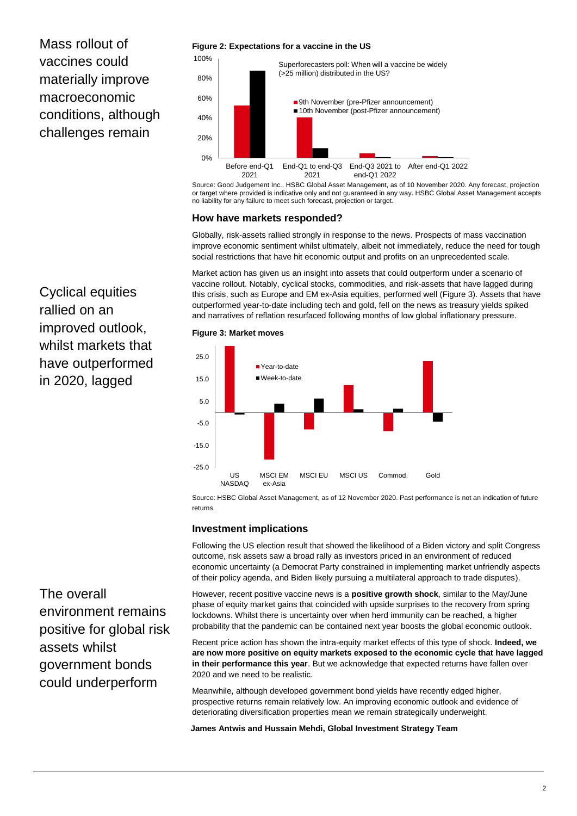Mass rollout of vaccines could materially improve macroeconomic conditions, although challenges remain

#### **Figure 2: Expectations for a vaccine in the US**



Source: Good Judgement Inc., HSBC Global Asset Management, as of 10 November 2020. Any forecast, projection or target where provided is indicative only and not guaranteed in any way. HSBC Global Asset Management accepts no liability for any failure to meet such forecast, projection or target.

#### **How have markets responded?**

Globally, risk-assets rallied strongly in response to the news. Prospects of mass vaccination improve economic sentiment whilst ultimately, albeit not immediately, reduce the need for tough social restrictions that have hit economic output and profits on an unprecedented scale.

Market action has given us an insight into assets that could outperform under a scenario of vaccine rollout. Notably, cyclical stocks, commodities, and risk-assets that have lagged during this crisis, such as Europe and EM ex-Asia equities, performed well (Figure 3). Assets that have outperformed year-to-date including tech and gold, fell on the news as treasury yields spiked and narratives of reflation resurfaced following months of low global inflationary pressure.

Cyclical equities rallied on an improved outlook, whilst markets that have outperformed in 2020, lagged

#### **Figure 3: Market moves**



Source: HSBC Global Asset Management, as of 12 November 2020. Past performance is not an indication of future returns.

#### **Investment implications**

Following the US election result that showed the likelihood of a Biden victory and split Congress outcome, risk assets saw a broad rally as investors priced in an environment of reduced economic uncertainty (a Democrat Party constrained in implementing market unfriendly aspects of their policy agenda, and Biden likely pursuing a multilateral approach to trade disputes).

However, recent positive vaccine news is a **positive growth shock**, similar to the May/June phase of equity market gains that coincided with upside surprises to the recovery from spring lockdowns. Whilst there is uncertainty over when herd immunity can be reached, a higher probability that the pandemic can be contained next year boosts the global economic outlook.

Recent price action has shown the intra-equity market effects of this type of shock. **Indeed, we are now more positive on equity markets exposed to the economic cycle that have lagged in their performance this year**. But we acknowledge that expected returns have fallen over 2020 and we need to be realistic.

Meanwhile, although developed government bond yields have recently edged higher, prospective returns remain relatively low. An improving economic outlook and evidence of deteriorating diversification properties mean we remain strategically underweight.

**James Antwis and Hussain Mehdi, Global Investment Strategy Team**

The overall environment remains positive for global risk assets whilst government bonds could underperform